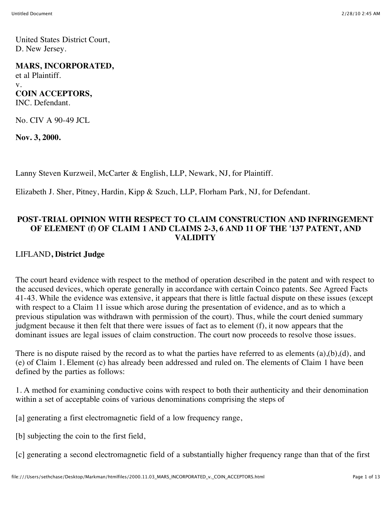United States District Court, D. New Jersey.

#### **MARS, INCORPORATED,**

et al Plaintiff. v. **COIN ACCEPTORS,** INC. Defendant.

No. CIV A 90-49 JCL

**Nov. 3, 2000.**

Lanny Steven Kurzweil, McCarter & English, LLP, Newark, NJ, for Plaintiff.

Elizabeth J. Sher, Pitney, Hardin, Kipp & Szuch, LLP, Florham Park, NJ, for Defendant.

### **POST-TRIAL OPINION WITH RESPECT TO CLAIM CONSTRUCTION AND INFRINGEMENT OF ELEMENT (f) OF CLAIM 1 AND CLAIMS 2-3, 6 AND 11 OF THE '137 PATENT, AND VALIDITY**

#### LIFLAND**, District Judge**

The court heard evidence with respect to the method of operation described in the patent and with respect to the accused devices, which operate generally in accordance with certain Coinco patents. See Agreed Facts 41-43. While the evidence was extensive, it appears that there is little factual dispute on these issues (except with respect to a Claim 11 issue which arose during the presentation of evidence, and as to which a previous stipulation was withdrawn with permission of the court). Thus, while the court denied summary judgment because it then felt that there were issues of fact as to element (f), it now appears that the dominant issues are legal issues of claim construction. The court now proceeds to resolve those issues.

There is no dispute raised by the record as to what the parties have referred to as elements (a),(b),(d), and (e) of Claim 1. Element (c) has already been addressed and ruled on. The elements of Claim 1 have been defined by the parties as follows:

1. A method for examining conductive coins with respect to both their authenticity and their denomination within a set of acceptable coins of various denominations comprising the steps of

[a] generating a first electromagnetic field of a low frequency range,

[b] subjecting the coin to the first field,

[c] generating a second electromagnetic field of a substantially higher frequency range than that of the first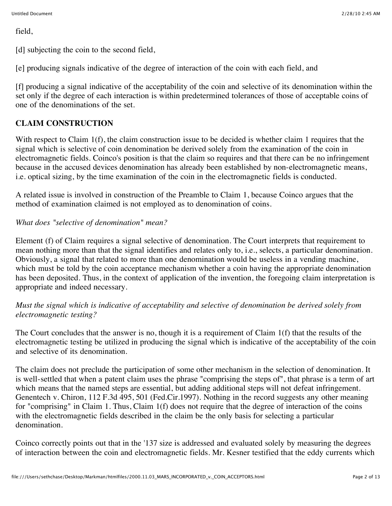field,

[d] subjecting the coin to the second field,

[e] producing signals indicative of the degree of interaction of the coin with each field, and

[f] producing a signal indicative of the acceptability of the coin and selective of its denomination within the set only if the degree of each interaction is within predetermined tolerances of those of acceptable coins of one of the denominations of the set.

# **CLAIM CONSTRUCTION**

With respect to Claim 1(f), the claim construction issue to be decided is whether claim 1 requires that the signal which is selective of coin denomination be derived solely from the examination of the coin in electromagnetic fields. Coinco's position is that the claim so requires and that there can be no infringement because in the accused devices denomination has already been established by non-electromagnetic means, i.e. optical sizing, by the time examination of the coin in the electromagnetic fields is conducted.

A related issue is involved in construction of the Preamble to Claim 1, because Coinco argues that the method of examination claimed is not employed as to denomination of coins.

# *What does "selective of denomination" mean?*

Element (f) of Claim requires a signal selective of denomination. The Court interprets that requirement to mean nothing more than that the signal identifies and relates only to, i.e., selects, a particular denomination. Obviously, a signal that related to more than one denomination would be useless in a vending machine, which must be told by the coin acceptance mechanism whether a coin having the appropriate denomination has been deposited. Thus, in the context of application of the invention, the foregoing claim interpretation is appropriate and indeed necessary.

*Must the signal which is indicative of acceptability and selective of denomination be derived solely from electromagnetic testing?*

The Court concludes that the answer is no, though it is a requirement of Claim 1(f) that the results of the electromagnetic testing be utilized in producing the signal which is indicative of the acceptability of the coin and selective of its denomination.

The claim does not preclude the participation of some other mechanism in the selection of denomination. It is well-settled that when a patent claim uses the phrase "comprising the steps of", that phrase is a term of art which means that the named steps are essential, but adding additional steps will not defeat infringement. Genentech v. Chiron, 112 F.3d 495, 501 (Fed.Cir.1997). Nothing in the record suggests any other meaning for "comprising" in Claim 1. Thus, Claim 1(f) does not require that the degree of interaction of the coins with the electromagnetic fields described in the claim be the only basis for selecting a particular denomination.

Coinco correctly points out that in the '137 size is addressed and evaluated solely by measuring the degrees of interaction between the coin and electromagnetic fields. Mr. Kesner testified that the eddy currents which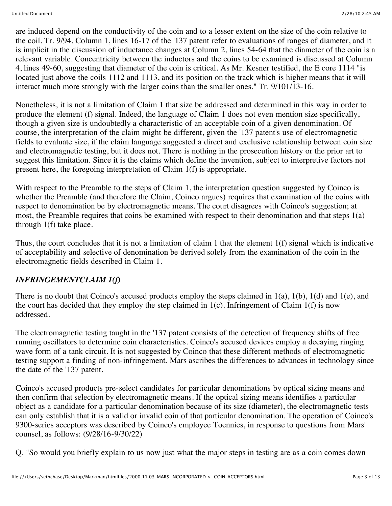are induced depend on the conductivity of the coin and to a lesser extent on the size of the coin relative to the coil. Tr. 9/94. Column 1, lines 16-17 of the '137 patent refer to evaluations of ranges of diameter, and it is implicit in the discussion of inductance changes at Column 2, lines 54-64 that the diameter of the coin is a relevant variable. Concentricity between the inductors and the coins to be examined is discussed at Column 4, lines 49-60, suggesting that diameter of the coin is critical. As Mr. Kesner testified, the E core 1114 "is located just above the coils 1112 and 1113, and its position on the track which is higher means that it will interact much more strongly with the larger coins than the smaller ones." Tr. 9/101/13-16.

Nonetheless, it is not a limitation of Claim 1 that size be addressed and determined in this way in order to produce the element (f) signal. Indeed, the language of Claim 1 does not even mention size specifically, though a given size is undoubtedly a characteristic of an acceptable coin of a given denomination. Of course, the interpretation of the claim might be different, given the '137 patent's use of electromagnetic fields to evaluate size, if the claim language suggested a direct and exclusive relationship between coin size and electromagnetic testing, but it does not. There is nothing in the prosecution history or the prior art to suggest this limitation. Since it is the claims which define the invention, subject to interpretive factors not present here, the foregoing interpretation of Claim 1(f) is appropriate.

With respect to the Preamble to the steps of Claim 1, the interpretation question suggested by Coinco is whether the Preamble (and therefore the Claim, Coinco argues) requires that examination of the coins with respect to denomination be by electromagnetic means. The court disagrees with Coinco's suggestion; at most, the Preamble requires that coins be examined with respect to their denomination and that steps 1(a) through 1(f) take place.

Thus, the court concludes that it is not a limitation of claim 1 that the element 1(f) signal which is indicative of acceptability and selective of denomination be derived solely from the examination of the coin in the electromagnetic fields described in Claim 1.

## *INFRINGEMENTCLAIM 1(f)*

There is no doubt that Coinco's accused products employ the steps claimed in 1(a), 1(b), 1(d) and 1(e), and the court has decided that they employ the step claimed in  $1(c)$ . Infringement of Claim  $1(f)$  is now addressed.

The electromagnetic testing taught in the '137 patent consists of the detection of frequency shifts of free running oscillators to determine coin characteristics. Coinco's accused devices employ a decaying ringing wave form of a tank circuit. It is not suggested by Coinco that these different methods of electromagnetic testing support a finding of non-infringement. Mars ascribes the differences to advances in technology since the date of the '137 patent.

Coinco's accused products pre-select candidates for particular denominations by optical sizing means and then confirm that selection by electromagnetic means. If the optical sizing means identifies a particular object as a candidate for a particular denomination because of its size (diameter), the electromagnetic tests can only establish that it is a valid or invalid coin of that particular denomination. The operation of Coinco's 9300-series acceptors was described by Coinco's employee Toennies, in response to questions from Mars' counsel, as follows: (9/28/16-9/30/22)

Q. "So would you briefly explain to us now just what the major steps in testing are as a coin comes down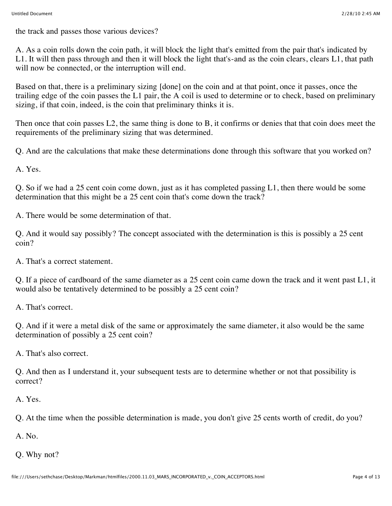the track and passes those various devices?

A. As a coin rolls down the coin path, it will block the light that's emitted from the pair that's indicated by L1. It will then pass through and then it will block the light that's-and as the coin clears, clears L1, that path will now be connected, or the interruption will end.

Based on that, there is a preliminary sizing [done] on the coin and at that point, once it passes, once the trailing edge of the coin passes the L1 pair, the A coil is used to determine or to check, based on preliminary sizing, if that coin, indeed, is the coin that preliminary thinks it is.

Then once that coin passes L2, the same thing is done to B, it confirms or denies that that coin does meet the requirements of the preliminary sizing that was determined.

Q. And are the calculations that make these determinations done through this software that you worked on?

A. Yes.

Q. So if we had a 25 cent coin come down, just as it has completed passing L1, then there would be some determination that this might be a 25 cent coin that's come down the track?

A. There would be some determination of that.

Q. And it would say possibly? The concept associated with the determination is this is possibly a 25 cent coin?

A. That's a correct statement.

Q. If a piece of cardboard of the same diameter as a 25 cent coin came down the track and it went past L1, it would also be tentatively determined to be possibly a 25 cent coin?

A. That's correct.

Q. And if it were a metal disk of the same or approximately the same diameter, it also would be the same determination of possibly a 25 cent coin?

A. That's also correct.

Q. And then as I understand it, your subsequent tests are to determine whether or not that possibility is correct?

A. Yes.

Q. At the time when the possible determination is made, you don't give 25 cents worth of credit, do you?

A. No.

Q. Why not?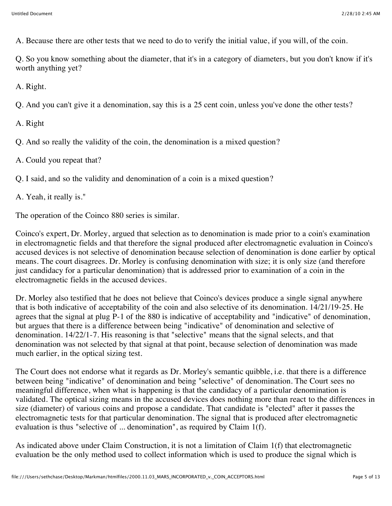A. Because there are other tests that we need to do to verify the initial value, if you will, of the coin.

Q. So you know something about the diameter, that it's in a category of diameters, but you don't know if it's worth anything yet?

A. Right.

Q. And you can't give it a denomination, say this is a 25 cent coin, unless you've done the other tests?

A. Right

Q. And so really the validity of the coin, the denomination is a mixed question?

A. Could you repeat that?

Q. I said, and so the validity and denomination of a coin is a mixed question?

A. Yeah, it really is."

The operation of the Coinco 880 series is similar.

Coinco's expert, Dr. Morley, argued that selection as to denomination is made prior to a coin's examination in electromagnetic fields and that therefore the signal produced after electromagnetic evaluation in Coinco's accused devices is not selective of denomination because selection of denomination is done earlier by optical means. The court disagrees. Dr. Morley is confusing denomination with size; it is only size (and therefore just candidacy for a particular denomination) that is addressed prior to examination of a coin in the electromagnetic fields in the accused devices.

Dr. Morley also testified that he does not believe that Coinco's devices produce a single signal anywhere that is both indicative of acceptability of the coin and also selective of its denomination. 14/21/19-25. He agrees that the signal at plug P-1 of the 880 is indicative of acceptability and "indicative" of denomination, but argues that there is a difference between being "indicative" of denomination and selective of denomination. 14/22/1-7. His reasoning is that "selective" means that the signal selects, and that denomination was not selected by that signal at that point, because selection of denomination was made much earlier, in the optical sizing test.

The Court does not endorse what it regards as Dr. Morley's semantic quibble, i.e. that there is a difference between being "indicative" of denomination and being "selective" of denomination. The Court sees no meaningful difference, when what is happening is that the candidacy of a particular denomination is validated. The optical sizing means in the accused devices does nothing more than react to the differences in size (diameter) of various coins and propose a candidate. That candidate is "elected" after it passes the electromagnetic tests for that particular denomination. The signal that is produced after electromagnetic evaluation is thus "selective of ... denomination", as required by Claim 1(f).

As indicated above under Claim Construction, it is not a limitation of Claim 1(f) that electromagnetic evaluation be the only method used to collect information which is used to produce the signal which is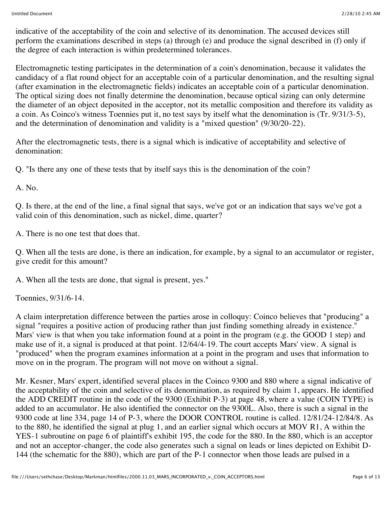indicative of the acceptability of the coin and selective of its denomination. The accused devices still perform the examinations described in steps (a) through (e) and produce the signal described in (f) only if the degree of each interaction is within predetermined tolerances.

Electromagnetic testing participates in the determination of a coin's denomination, because it validates the candidacy of a flat round object for an acceptable coin of a particular denomination, and the resulting signal (after examination in the electromagnetic fields) indicates an acceptable coin of a particular denomination. The optical sizing does not finally determine the denomination, because optical sizing can only determine the diameter of an object deposited in the acceptor, not its metallic composition and therefore its validity as a coin. As Coinco's witness Toennies put it, no test says by itself what the denomination is (Tr. 9/31/3-5), and the determination of denomination and validity is a "mixed question" (9/30/20-22).

After the electromagnetic tests, there is a signal which is indicative of acceptability and selective of denomination:

Q. "Is there any one of these tests that by itself says this is the denomination of the coin?

A. No.

Q. Is there, at the end of the line, a final signal that says, we've got or an indication that says we've got a valid coin of this denomination, such as nickel, dime, quarter?

A. There is no one test that does that.

Q. When all the tests are done, is there an indication, for example, by a signal to an accumulator or register, give credit for this amount?

A. When all the tests are done, that signal is present, yes."

Toennies, 9/31/6-14.

A claim interpretation difference between the parties arose in colloquy: Coinco believes that "producing" a signal "requires a positive action of producing rather than just finding something already in existence." Mars' view is that when you take information found at a point in the program (e.g. the GOOD 1 step) and make use of it, a signal is produced at that point. 12/64/4-19. The court accepts Mars' view. A signal is "produced" when the program examines information at a point in the program and uses that information to move on in the program. The program will not move on without a signal.

Mr. Kesner, Mars' expert, identified several places in the Coinco 9300 and 880 where a signal indicative of the acceptability of the coin and selective of its denomination, as required by claim 1, appears. He identified the ADD CREDIT routine in the code of the 9300 (Exhibit P-3) at page 48, where a value (COIN TYPE) is added to an accumulator. He also identified the connector on the 9300L. Also, there is such a signal in the 9300 code at line 334, page 14 of P-3, where the DOOR CONTROL routine is called. 12/81/24-12/84/8. As to the 880, he identified the signal at plug 1, and an earlier signal which occurs at MOV R1, A within the YES-1 subroutine on page 6 of plaintiff's exhibit 195, the code for the 880. In the 880, which is an acceptor and not an acceptor-changer, the code also generates such a signal on leads or lines depicted on Exhibit D-144 (the schematic for the 880), which are part of the P-1 connector when those leads are pulsed in a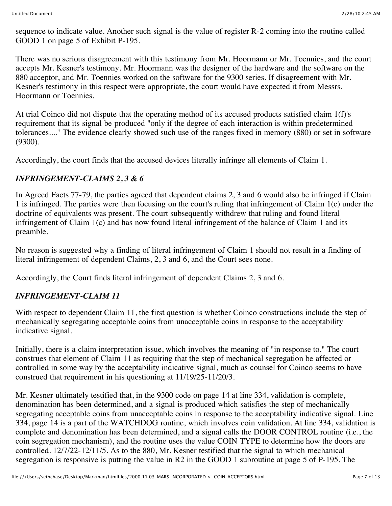sequence to indicate value. Another such signal is the value of register R-2 coming into the routine called GOOD 1 on page 5 of Exhibit P-195.

There was no serious disagreement with this testimony from Mr. Hoormann or Mr. Toennies, and the court accepts Mr. Kesner's testimony. Mr. Hoormann was the designer of the hardware and the software on the 880 acceptor, and Mr. Toennies worked on the software for the 9300 series. If disagreement with Mr. Kesner's testimony in this respect were appropriate, the court would have expected it from Messrs. Hoormann or Toennies.

At trial Coinco did not dispute that the operating method of its accused products satisfied claim 1(f)'s requirement that its signal be produced "only if the degree of each interaction is within predetermined tolerances...." The evidence clearly showed such use of the ranges fixed in memory (880) or set in software (9300).

Accordingly, the court finds that the accused devices literally infringe all elements of Claim 1.

# *INFRINGEMENT-CLAIMS 2, 3 & 6*

In Agreed Facts 77-79, the parties agreed that dependent claims 2, 3 and 6 would also be infringed if Claim 1 is infringed. The parties were then focusing on the court's ruling that infringement of Claim 1(c) under the doctrine of equivalents was present. The court subsequently withdrew that ruling and found literal infringement of Claim 1(c) and has now found literal infringement of the balance of Claim 1 and its preamble.

No reason is suggested why a finding of literal infringement of Claim 1 should not result in a finding of literal infringement of dependent Claims, 2, 3 and 6, and the Court sees none.

Accordingly, the Court finds literal infringement of dependent Claims 2, 3 and 6.

## *INFRINGEMENT-CLAIM 11*

With respect to dependent Claim 11, the first question is whether Coinco constructions include the step of mechanically segregating acceptable coins from unacceptable coins in response to the acceptability indicative signal.

Initially, there is a claim interpretation issue, which involves the meaning of "in response to." The court construes that element of Claim 11 as requiring that the step of mechanical segregation be affected or controlled in some way by the acceptability indicative signal, much as counsel for Coinco seems to have construed that requirement in his questioning at 11/19/25-11/20/3.

Mr. Kesner ultimately testified that, in the 9300 code on page 14 at line 334, validation is complete, denomination has been determined, and a signal is produced which satisfies the step of mechanically segregating acceptable coins from unacceptable coins in response to the acceptability indicative signal. Line 334, page 14 is a part of the WATCHDOG routine, which involves coin validation. At line 334, validation is complete and denomination has been determined, and a signal calls the DOOR CONTROL routine (i.e., the coin segregation mechanism), and the routine uses the value COIN TYPE to determine how the doors are controlled. 12/7/22-12/11/5. As to the 880, Mr. Kesner testified that the signal to which mechanical segregation is responsive is putting the value in R2 in the GOOD 1 subroutine at page 5 of P-195. The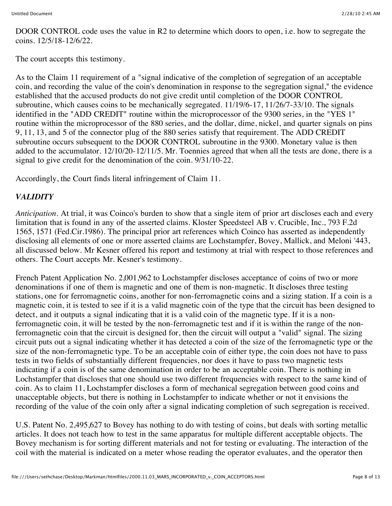DOOR CONTROL code uses the value in R2 to determine which doors to open, i.e. how to segregate the coins. 12/5/18-12/6/22.

The court accepts this testimony.

As to the Claim 11 requirement of a "signal indicative of the completion of segregation of an acceptable coin, and recording the value of the coin's denomination in response to the segregation signal," the evidence established that the accused products do not give credit until completion of the DOOR CONTROL subroutine, which causes coins to be mechanically segregated. 11/19/6-17, 11/26/7-33/10. The signals identified in the "ADD CREDIT" routine within the microprocessor of the 9300 series, in the "YES 1" routine within the microprocessor of the 880 series, and the dollar, dime, nickel, and quarter signals on pins 9, 11, 13, and 5 of the connector plug of the 880 series satisfy that requirement. The ADD CREDIT subroutine occurs subsequent to the DOOR CONTROL subroutine in the 9300. Monetary value is then added to the accumulator. 12/10/20-12/11/5. Mr. Toennies agreed that when all the tests are done, there is a signal to give credit for the denomination of the coin. 9/31/10-22.

Accordingly, the Court finds literal infringement of Claim 11.

# *VALIDITY*

*Anticipation.* At trial, it was Coinco's burden to show that a single item of prior art discloses each and every limitation that is found in any of the asserted claims. Kloster Speedsteel AB v. Crucible, Inc., 793 F.2d 1565, 1571 (Fed.Cir.1986). The principal prior art references which Coinco has asserted as independently disclosing all elements of one or more asserted claims are Lochstampfer, Bovey, Mallick, and Meloni '443, all discussed below. Mr Kesner offered his report and testimony at trial with respect to those references and others. The Court accepts Mr. Kesner's testimony.

French Patent Application No. 2,001,962 to Lochstampfer discloses acceptance of coins of two or more denominations if one of them is magnetic and one of them is non-magnetic. It discloses three testing stations, one for ferromagnetic coins, another for non-ferromagnetic coins and a sizing station. If a coin is a magnetic coin, it is tested to see if it is a valid magnetic coin of the type that the circuit has been designed to detect, and it outputs a signal indicating that it is a valid coin of the magnetic type. If it is a nonferromagnetic coin, it will be tested by the non-ferromagnetic test and if it is within the range of the nonferromagnetic coin that the circuit is designed for, then the circuit will output a "valid" signal. The sizing circuit puts out a signal indicating whether it has detected a coin of the size of the ferromagnetic type or the size of the non-ferromagnetic type. To be an acceptable coin of either type, the coin does not have to pass tests in two fields of substantially different frequencies, nor does it have to pass two magnetic tests indicating if a coin is of the same denomination in order to be an acceptable coin. There is nothing in Lochstampfer that discloses that one should use two different frequencies with respect to the same kind of coin. As to claim 11, Lochstampfer discloses a form of mechanical segregation between good coins and unacceptable objects, but there is nothing in Lochstampfer to indicate whether or not it envisions the recording of the value of the coin only after a signal indicating completion of such segregation is received.

U.S. Patent No. 2,495,627 to Bovey has nothing to do with testing of coins, but deals with sorting metallic articles. It does not teach how to test in the same apparatus for multiple different acceptable objects. The Bovey mechanism is for sorting different materials and not for testing or evaluating. The interaction of the coil with the material is indicated on a meter whose reading the operator evaluates, and the operator then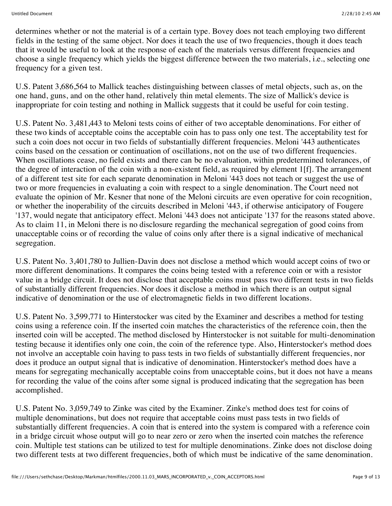determines whether or not the material is of a certain type. Bovey does not teach employing two different fields in the testing of the same object. Nor does it teach the use of two frequencies, though it does teach that it would be useful to look at the response of each of the materials versus different frequencies and choose a single frequency which yields the biggest difference between the two materials, i.e., selecting one frequency for a given test.

U.S. Patent 3,686,564 to Mallick teaches distinguishing between classes of metal objects, such as, on the one hand, guns, and on the other hand, relatively thin metal elements. The size of Mallick's device is inappropriate for coin testing and nothing in Mallick suggests that it could be useful for coin testing.

U.S. Patent No. 3,481,443 to Meloni tests coins of either of two acceptable denominations. For either of these two kinds of acceptable coins the acceptable coin has to pass only one test. The acceptability test for such a coin does not occur in two fields of substantially different frequencies. Meloni '443 authenticates coins based on the cessation or continuation of oscillations, not on the use of two different frequencies. When oscillations cease, no field exists and there can be no evaluation, within predetermined tolerances, of the degree of interaction of the coin with a non-existent field, as required by element 1[f]. The arrangement of a different test site for each separate denomination in Meloni '443 does not teach or suggest the use of two or more frequencies in evaluating a coin with respect to a single denomination. The Court need not evaluate the opinion of Mr. Kesner that none of the Meloni circuits are even operative for coin recognition, or whether the inoperability of the circuits described in Meloni '443, if otherwise anticipatory of Fougere '137, would negate that anticipatory effect. Meloni '443 does not anticipate '137 for the reasons stated above. As to claim 11, in Meloni there is no disclosure regarding the mechanical segregation of good coins from unacceptable coins or of recording the value of coins only after there is a signal indicative of mechanical segregation.

U.S. Patent No. 3,401,780 to Jullien-Davin does not disclose a method which would accept coins of two or more different denominations. It compares the coins being tested with a reference coin or with a resistor value in a bridge circuit. It does not disclose that acceptable coins must pass two different tests in two fields of substantially different frequencies. Nor does it disclose a method in which there is an output signal indicative of denomination or the use of electromagnetic fields in two different locations.

U.S. Patent No. 3,599,771 to Hinterstocker was cited by the Examiner and describes a method for testing coins using a reference coin. If the inserted coin matches the characteristics of the reference coin, then the inserted coin will be accepted. The method disclosed by Hinterstocker is not suitable for multi-denomination testing because it identifies only one coin, the coin of the reference type. Also, Hinterstocker's method does not involve an acceptable coin having to pass tests in two fields of substantially different frequencies, nor does it produce an output signal that is indicative of denomination. Hinterstocker's method does have a means for segregating mechanically acceptable coins from unacceptable coins, but it does not have a means for recording the value of the coins after some signal is produced indicating that the segregation has been accomplished.

U.S. Patent No. 3,059,749 to Zinke was cited by the Examiner. Zinke's method does test for coins of multiple denominations, but does not require that acceptable coins must pass tests in two fields of substantially different frequencies. A coin that is entered into the system is compared with a reference coin in a bridge circuit whose output will go to near zero or zero when the inserted coin matches the reference coin. Multiple test stations can be utilized to test for multiple denominations. Zinke does not disclose doing two different tests at two different frequencies, both of which must be indicative of the same denomination.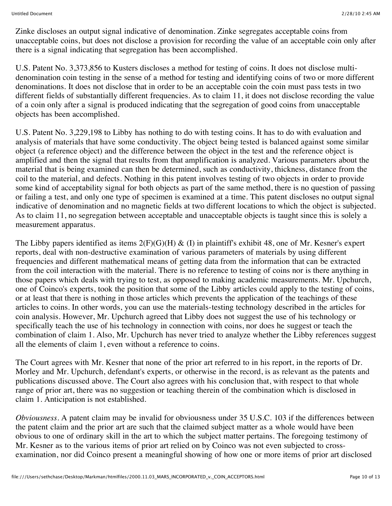Zinke discloses an output signal indicative of denomination. Zinke segregates acceptable coins from unacceptable coins, but does not disclose a provision for recording the value of an acceptable coin only after there is a signal indicating that segregation has been accomplished.

U.S. Patent No. 3,373,856 to Kusters discloses a method for testing of coins. It does not disclose multidenomination coin testing in the sense of a method for testing and identifying coins of two or more different denominations. It does not disclose that in order to be an acceptable coin the coin must pass tests in two different fields of substantially different frequencies. As to claim 11, it does not disclose recording the value of a coin only after a signal is produced indicating that the segregation of good coins from unacceptable objects has been accomplished.

U.S. Patent No. 3,229,198 to Libby has nothing to do with testing coins. It has to do with evaluation and analysis of materials that have some conductivity. The object being tested is balanced against some similar object (a reference object) and the difference between the object in the test and the reference object is amplified and then the signal that results from that amplification is analyzed. Various parameters about the material that is being examined can then be determined, such as conductivity, thickness, distance from the coil to the material, and defects. Nothing in this patent involves testing of two objects in order to provide some kind of acceptability signal for both objects as part of the same method, there is no question of passing or failing a test, and only one type of specimen is examined at a time. This patent discloses no output signal indicative of denomination and no magnetic fields at two different locations to which the object is subjected. As to claim 11, no segregation between acceptable and unacceptable objects is taught since this is solely a measurement apparatus.

The Libby papers identified as items  $2(F)(G)(H) \& (I)$  in plaintiff's exhibit 48, one of Mr. Kesner's expert reports, deal with non-destructive examination of various parameters of materials by using different frequencies and different mathematical means of getting data from the information that can be extracted from the coil interaction with the material. There is no reference to testing of coins nor is there anything in those papers which deals with trying to test, as opposed to making academic measurements. Mr. Upchurch, one of Coinco's experts, took the position that some of the Libby articles could apply to the testing of coins, or at least that there is nothing in those articles which prevents the application of the teachings of these articles to coins. In other words, you can use the materials-testing technology described in the articles for coin analysis. However, Mr. Upchurch agreed that Libby does not suggest the use of his technology or specifically teach the use of his technology in connection with coins, nor does he suggest or teach the combination of claim 1. Also, Mr. Upchurch has never tried to analyze whether the Libby references suggest all the elements of claim 1, even without a reference to coins.

The Court agrees with Mr. Kesner that none of the prior art referred to in his report, in the reports of Dr. Morley and Mr. Upchurch, defendant's experts, or otherwise in the record, is as relevant as the patents and publications discussed above. The Court also agrees with his conclusion that, with respect to that whole range of prior art, there was no suggestion or teaching therein of the combination which is disclosed in claim 1. Anticipation is not established.

*Obviousness.* A patent claim may be invalid for obviousness under 35 U.S.C. 103 if the differences between the patent claim and the prior art are such that the claimed subject matter as a whole would have been obvious to one of ordinary skill in the art to which the subject matter pertains. The foregoing testimony of Mr. Kesner as to the various items of prior art relied on by Coinco was not even subjected to crossexamination, nor did Coinco present a meaningful showing of how one or more items of prior art disclosed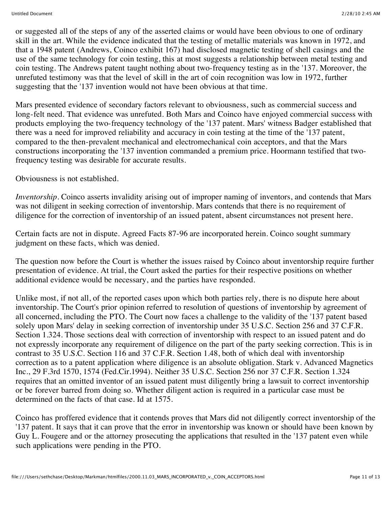or suggested all of the steps of any of the asserted claims or would have been obvious to one of ordinary skill in the art. While the evidence indicated that the testing of metallic materials was known in 1972, and that a 1948 patent (Andrews, Coinco exhibit 167) had disclosed magnetic testing of shell casings and the use of the same technology for coin testing, this at most suggests a relationship between metal testing and coin testing. The Andrews patent taught nothing about two-frequency testing as in the '137. Moreover, the unrefuted testimony was that the level of skill in the art of coin recognition was low in 1972, further suggesting that the '137 invention would not have been obvious at that time.

Mars presented evidence of secondary factors relevant to obviousness, such as commercial success and long-felt need. That evidence was unrefuted. Both Mars and Coinco have enjoyed commercial success with products employing the two-frequency technology of the '137 patent. Mars' witness Badger established that there was a need for improved reliability and accuracy in coin testing at the time of the '137 patent, compared to the then-prevalent mechanical and electromechanical coin acceptors, and that the Mars constructions incorporating the '137 invention commanded a premium price. Hoormann testified that twofrequency testing was desirable for accurate results.

Obviousness is not established.

*Inventorship.* Coinco asserts invalidity arising out of improper naming of inventors, and contends that Mars was not diligent in seeking correction of inventorship. Mars contends that there is no requirement of diligence for the correction of inventorship of an issued patent, absent circumstances not present here.

Certain facts are not in dispute. Agreed Facts 87-96 are incorporated herein. Coinco sought summary judgment on these facts, which was denied.

The question now before the Court is whether the issues raised by Coinco about inventorship require further presentation of evidence. At trial, the Court asked the parties for their respective positions on whether additional evidence would be necessary, and the parties have responded.

Unlike most, if not all, of the reported cases upon which both parties rely, there is no dispute here about inventorship. The Court's prior opinion referred to resolution of questions of inventorship by agreement of all concerned, including the PTO. The Court now faces a challenge to the validity of the '137 patent based solely upon Mars' delay in seeking correction of inventorship under 35 U.S.C. Section 256 and 37 C.F.R. Section 1.324. Those sections deal with correction of inventorship with respect to an issued patent and do not expressly incorporate any requirement of diligence on the part of the party seeking correction. This is in contrast to 35 U.S.C. Section 116 and 37 C.F.R. Section 1.48, both of which deal with inventorship correction as to a patent application where diligence is an absolute obligation. Stark v. Advanced Magnetics Inc., 29 F.3rd 1570, 1574 (Fed.Cir.1994). Neither 35 U.S.C. Section 256 nor 37 C.F.R. Section 1.324 requires that an omitted inventor of an issued patent must diligently bring a lawsuit to correct inventorship or be forever barred from doing so. Whether diligent action is required in a particular case must be determined on the facts of that case. Id at 1575.

Coinco has proffered evidence that it contends proves that Mars did not diligently correct inventorship of the '137 patent. It says that it can prove that the error in inventorship was known or should have been known by Guy L. Fougere and or the attorney prosecuting the applications that resulted in the '137 patent even while such applications were pending in the PTO.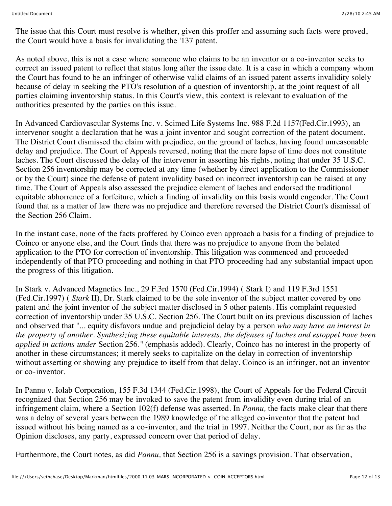The issue that this Court must resolve is whether, given this proffer and assuming such facts were proved, the Court would have a basis for invalidating the '137 patent.

As noted above, this is not a case where someone who claims to be an inventor or a co-inventor seeks to correct an issued patent to reflect that status long after the issue date. It is a case in which a company whom the Court has found to be an infringer of otherwise valid claims of an issued patent asserts invalidity solely because of delay in seeking the PTO's resolution of a question of inventorship, at the joint request of all parties claiming inventorship status. In this Court's view, this context is relevant to evaluation of the authorities presented by the parties on this issue.

In Advanced Cardiovascular Systems Inc. v. Scimed Life Systems Inc. 988 F.2d 1157(Fed.Cir.1993), an intervenor sought a declaration that he was a joint inventor and sought correction of the patent document. The District Court dismissed the claim with prejudice, on the ground of laches, having found unreasonable delay and prejudice. The Court of Appeals reversed, noting that the mere lapse of time does not constitute laches. The Court discussed the delay of the intervenor in asserting his rights, noting that under 35 U.S.C. Section 256 inventorship may be corrected at any time (whether by direct application to the Commissioner or by the Court) since the defense of patent invalidity based on incorrect inventorship can be raised at any time. The Court of Appeals also assessed the prejudice element of laches and endorsed the traditional equitable abhorrence of a forfeiture, which a finding of invalidity on this basis would engender. The Court found that as a matter of law there was no prejudice and therefore reversed the District Court's dismissal of the Section 256 Claim.

In the instant case, none of the facts proffered by Coinco even approach a basis for a finding of prejudice to Coinco or anyone else, and the Court finds that there was no prejudice to anyone from the belated application to the PTO for correction of inventorship. This litigation was commenced and proceeded independently of that PTO proceeding and nothing in that PTO proceeding had any substantial impact upon the progress of this litigation.

In Stark v. Advanced Magnetics Inc., 29 F.3rd 1570 (Fed.Cir.1994) ( Stark I) and 119 F.3rd 1551 (Fed.Cir.1997) ( *Stark* II), Dr. Stark claimed to be the sole inventor of the subject matter covered by one patent and the joint inventor of the subject matter disclosed in 5 other patents. His complaint requested correction of inventorship under 35 U.S.C. Section 256. The Court built on its previous discussion of laches and observed that "... equity disfavors undue and prejudicial delay by a person *who may have an interest in the property of another. Synthesizing these equitable interests, the defenses of laches and estoppel have been applied in actions under* Section 256*."* (emphasis added). Clearly, Coinco has no interest in the property of another in these circumstances; it merely seeks to capitalize on the delay in correction of inventorship without asserting or showing any prejudice to itself from that delay. Coinco is an infringer, not an inventor or co-inventor.

In Pannu v. Iolab Corporation, 155 F.3d 1344 (Fed.Cir.1998), the Court of Appeals for the Federal Circuit recognized that Section 256 may be invoked to save the patent from invalidity even during trial of an infringement claim, where a Section 102(f) defense was asserted. In *Pannu,* the facts make clear that there was a delay of several years between the 1989 knowledge of the alleged co-inventor that the patent had issued without his being named as a co-inventor, and the trial in 1997. Neither the Court, nor as far as the Opinion discloses, any party, expressed concern over that period of delay.

Furthermore, the Court notes, as did *Pannu,* that Section 256 is a savings provision. That observation,